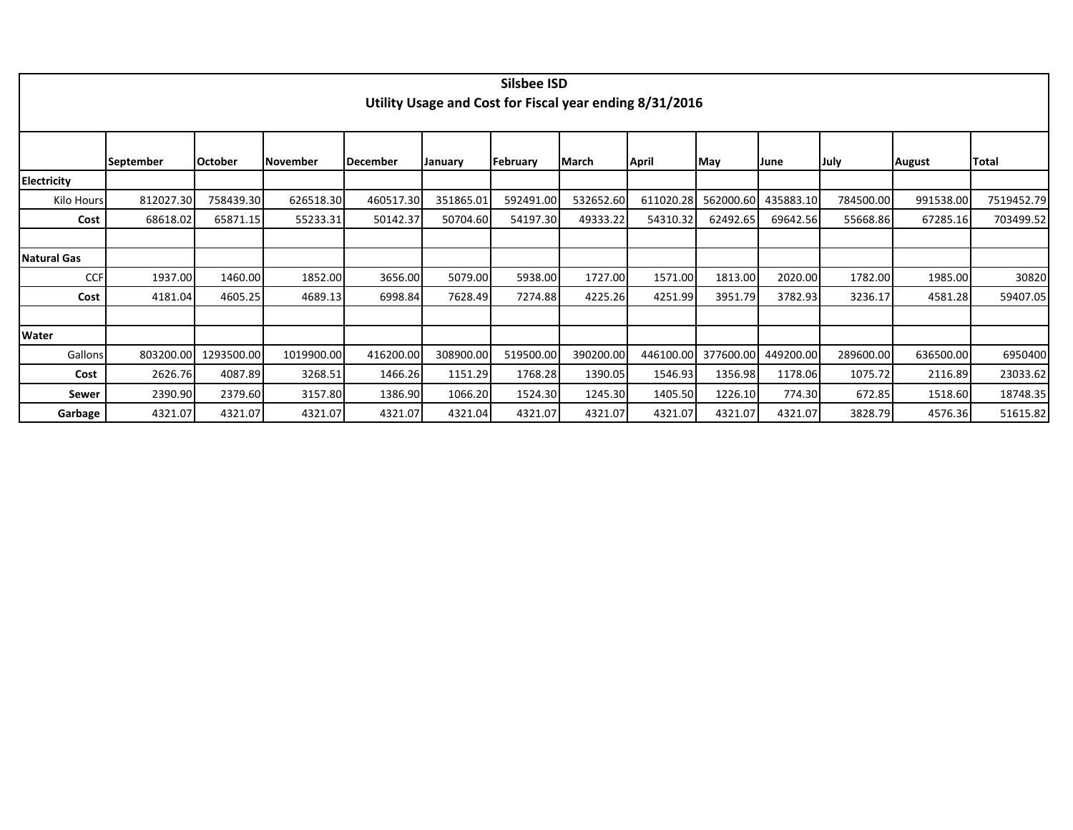|                    |                  |                |            |           |           | <b>Silsbee ISD</b> |           |                                                         |                     |           |           |               |            |
|--------------------|------------------|----------------|------------|-----------|-----------|--------------------|-----------|---------------------------------------------------------|---------------------|-----------|-----------|---------------|------------|
|                    |                  |                |            |           |           |                    |           | Utility Usage and Cost for Fiscal year ending 8/31/2016 |                     |           |           |               |            |
|                    |                  |                |            |           |           |                    |           |                                                         |                     |           |           |               |            |
|                    |                  |                |            |           |           |                    |           |                                                         |                     |           |           |               |            |
|                    | <b>September</b> | <b>October</b> | November   | December  | January   | February           | March     | April                                                   | May                 | lJune     | July      | <b>August</b> | Total      |
| <b>Electricity</b> |                  |                |            |           |           |                    |           |                                                         |                     |           |           |               |            |
| Kilo Hours         | 812027.30        | 758439.30      | 626518.30  | 460517.30 | 351865.01 | 592491.00          | 532652.60 | 611020.28                                               | 562000.60           | 435883.10 | 784500.00 | 991538.00     | 7519452.79 |
| Cost               | 68618.02         | 65871.15       | 55233.31   | 50142.37  | 50704.60  | 54197.30           | 49333.22  | 54310.32                                                | 62492.65            | 69642.56  | 55668.86  | 67285.16      | 703499.52  |
|                    |                  |                |            |           |           |                    |           |                                                         |                     |           |           |               |            |
| <b>Natural Gas</b> |                  |                |            |           |           |                    |           |                                                         |                     |           |           |               |            |
| <b>CCF</b>         | 1937.00          | 1460.00        | 1852.00    | 3656.00   | 5079.00   | 5938.00            | 1727.00   | 1571.00                                                 | 1813.00             | 2020.00   | 1782.00   | 1985.00       | 30820      |
| Cost               | 4181.04          | 4605.25        | 4689.13    | 6998.84   | 7628.49   | 7274.88            | 4225.26   | 4251.99                                                 | 3951.79             | 3782.93   | 3236.17   | 4581.28       | 59407.05   |
|                    |                  |                |            |           |           |                    |           |                                                         |                     |           |           |               |            |
| Water              |                  |                |            |           |           |                    |           |                                                         |                     |           |           |               |            |
| Gallons            | 803200.00        | 1293500.00     | 1019900.00 | 416200.00 | 308900.00 | 519500.00          | 390200.00 |                                                         | 446100.00 377600.00 | 449200.00 | 289600.00 | 636500.00     | 6950400    |
| Cost               | 2626.76          | 4087.89        | 3268.51    | 1466.26   | 1151.29   | 1768.28            | 1390.05   | 1546.93                                                 | 1356.98             | 1178.06   | 1075.72   | 2116.89       | 23033.62   |
| Sewer              | 2390.90          | 2379.60        | 3157.80    | 1386.90   | 1066.20   | 1524.30            | 1245.30   | 1405.50                                                 | 1226.10             | 774.30    | 672.85    | 1518.60       | 18748.35   |
| Garbage            | 4321.07          | 4321.07        | 4321.07    | 4321.07   | 4321.04   | 4321.07            | 4321.07   | 4321.07                                                 | 4321.07             | 4321.07   | 3828.79   | 4576.36       | 51615.82   |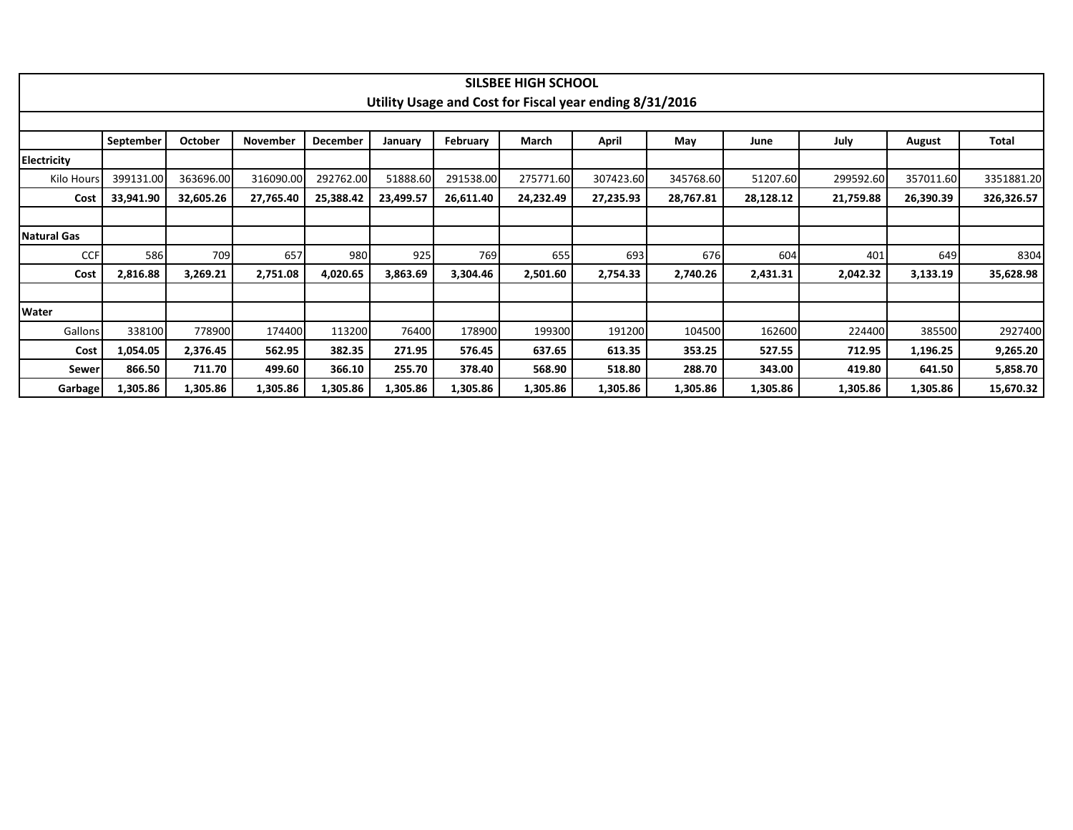|             |           |                |                 |                 |           |           | SILSBEE HIGH SCHOOL |                                                         |           |           |           |           |            |
|-------------|-----------|----------------|-----------------|-----------------|-----------|-----------|---------------------|---------------------------------------------------------|-----------|-----------|-----------|-----------|------------|
|             |           |                |                 |                 |           |           |                     | Utility Usage and Cost for Fiscal year ending 8/31/2016 |           |           |           |           |            |
|             | September | <b>October</b> | <b>November</b> | <b>December</b> | January   | February  | March               | April                                                   | May       | June      | July      | August    | Total      |
| Electricity |           |                |                 |                 |           |           |                     |                                                         |           |           |           |           |            |
| Kilo Hours  | 399131.00 | 363696.00      | 316090.00       | 292762.00       | 51888.60  | 291538.00 | 275771.60           | 307423.60                                               | 345768.60 | 51207.60  | 299592.60 | 357011.60 | 3351881.20 |
| Cost        | 33,941.90 | 32,605.26      | 27,765.40       | 25,388.42       | 23,499.57 | 26,611.40 | 24,232.49           | 27,235.93                                               | 28,767.81 | 28,128.12 | 21,759.88 | 26,390.39 | 326,326.57 |
|             |           |                |                 |                 |           |           |                     |                                                         |           |           |           |           |            |
| Natural Gas |           |                |                 |                 |           |           |                     |                                                         |           |           |           |           |            |
| <b>CCF</b>  | 586       | 709            | 657             | 980             | 925       | 769       | 655                 | 693                                                     | 676       | 604       | 401       | 649       | 8304       |
| Cost        | 2,816.88  | 3,269.21       | 2,751.08        | 4,020.65        | 3,863.69  | 3,304.46  | 2,501.60            | 2,754.33                                                | 2,740.26  | 2,431.31  | 2,042.32  | 3,133.19  | 35,628.98  |
|             |           |                |                 |                 |           |           |                     |                                                         |           |           |           |           |            |
| Water       |           |                |                 |                 |           |           |                     |                                                         |           |           |           |           |            |
| Gallons     | 338100    | 778900         | 174400          | 113200          | 76400     | 178900    | 199300              | 191200                                                  | 104500    | 162600    | 224400    | 385500    | 2927400    |
| Cost        | 1,054.05  | 2,376.45       | 562.95          | 382.35          | 271.95    | 576.45    | 637.65              | 613.35                                                  | 353.25    | 527.55    | 712.95    | 1,196.25  | 9,265.20   |
| Sewer       | 866.50    | 711.70         | 499.60          | 366.10          | 255.70    | 378.40    | 568.90              | 518.80                                                  | 288.70    | 343.00    | 419.80    | 641.50    | 5,858.70   |
| Garbage     | 1,305.86  | 1,305.86       | 1,305.86        | 1,305.86        | 1,305.86  | 1,305.86  | 1,305.86            | 1,305.86                                                | 1,305.86  | 1,305.86  | 1,305.86  | 1,305.86  | 15,670.32  |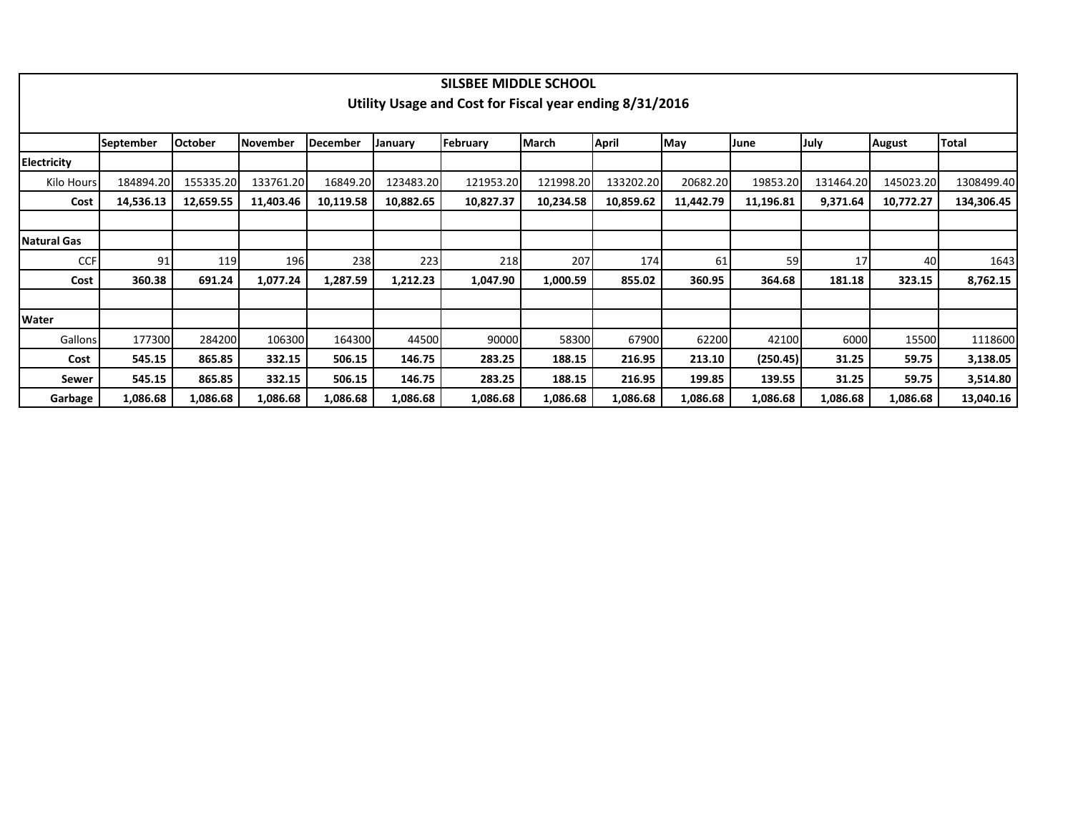|                    |                  |                |           |                 |           | SILSBEE MIDDLE SCHOOL                                   |              |           |           |           |           |               |              |
|--------------------|------------------|----------------|-----------|-----------------|-----------|---------------------------------------------------------|--------------|-----------|-----------|-----------|-----------|---------------|--------------|
|                    |                  |                |           |                 |           | Utility Usage and Cost for Fiscal year ending 8/31/2016 |              |           |           |           |           |               |              |
|                    |                  |                |           |                 |           |                                                         |              |           |           |           |           |               |              |
|                    | <b>September</b> | <b>October</b> | November  | <b>December</b> | January   | February                                                | <b>March</b> | April     | May       | June      | July      | <b>August</b> | <b>Total</b> |
| <b>Electricity</b> |                  |                |           |                 |           |                                                         |              |           |           |           |           |               |              |
| Kilo Hours         | 184894.20        | 155335.20      | 133761.20 | 16849.20        | 123483.20 | 121953.20                                               | 121998.20    | 133202.20 | 20682.20  | 19853.20  | 131464.20 | 145023.20     | 1308499.40   |
| Cost               | 14,536.13        | 12,659.55      | 11,403.46 | 10,119.58       | 10,882.65 | 10,827.37                                               | 10,234.58    | 10,859.62 | 11,442.79 | 11,196.81 | 9,371.64  | 10,772.27     | 134,306.45   |
|                    |                  |                |           |                 |           |                                                         |              |           |           |           |           |               |              |
| Natural Gas        |                  |                |           |                 |           |                                                         |              |           |           |           |           |               |              |
| <b>CCF</b>         | 91               | 119            | 196       | 238             | 223       | 218                                                     | 207          | 174       | 61        | 59        | 17        | 40            | 1643         |
| Cost               | 360.38           | 691.24         | 1,077.24  | 1,287.59        | 1,212.23  | 1,047.90                                                | 1,000.59     | 855.02    | 360.95    | 364.68    | 181.18    | 323.15        | 8,762.15     |
|                    |                  |                |           |                 |           |                                                         |              |           |           |           |           |               |              |
| <b>Water</b>       |                  |                |           |                 |           |                                                         |              |           |           |           |           |               |              |
| Gallons            | 177300           | 284200         | 106300    | 164300          | 44500     | 90000                                                   | 58300        | 67900     | 62200     | 42100     | 6000      | 15500         | 1118600      |
| Cost               | 545.15           | 865.85         | 332.15    | 506.15          | 146.75    | 283.25                                                  | 188.15       | 216.95    | 213.10    | (250.45)  | 31.25     | 59.75         | 3,138.05     |
| Sewer              | 545.15           | 865.85         | 332.15    | 506.15          | 146.75    | 283.25                                                  | 188.15       | 216.95    | 199.85    | 139.55    | 31.25     | 59.75         | 3,514.80     |
| Garbage            | 1,086.68         | 1,086.68       | 1,086.68  | 1,086.68        | 1,086.68  | 1,086.68                                                | 1,086.68     | 1,086.68  | 1,086.68  | 1,086.68  | 1,086.68  | 1,086.68      | 13,040.16    |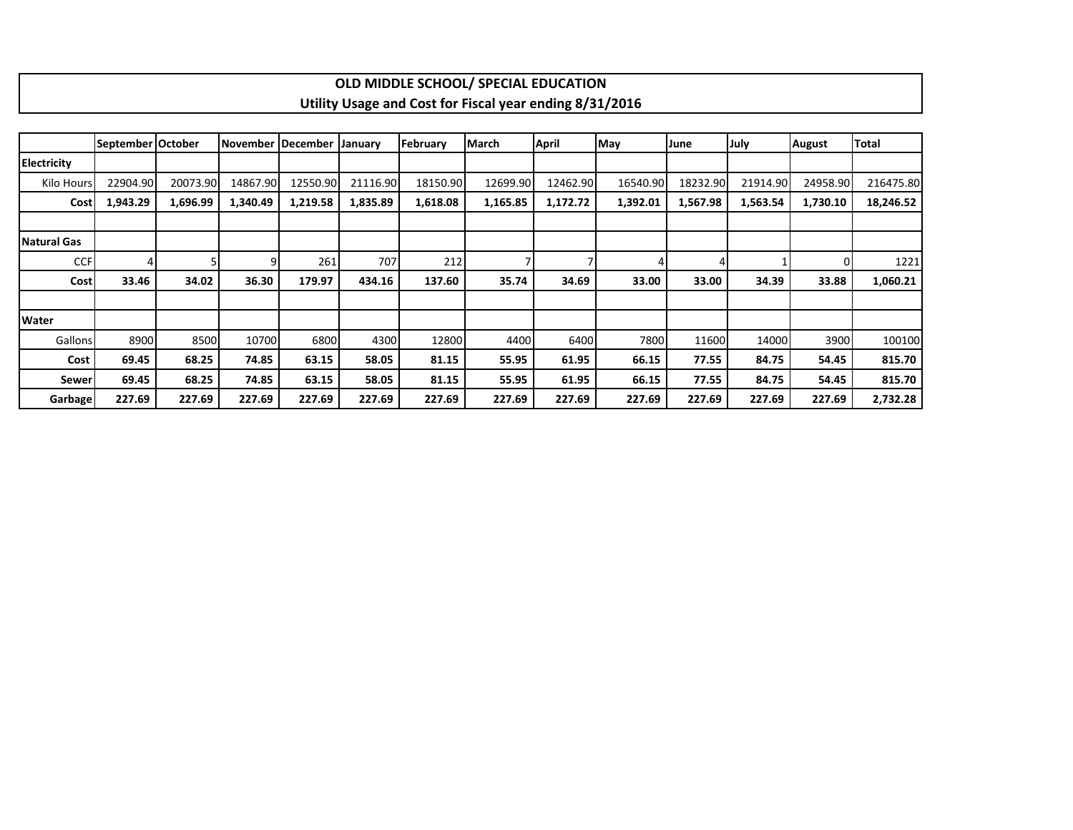|                    |                   |          |          |                     |          |          | OLD MIDDLE SCHOOL/ SPECIAL EDUCATION                    |          |          |          |          |               |           |
|--------------------|-------------------|----------|----------|---------------------|----------|----------|---------------------------------------------------------|----------|----------|----------|----------|---------------|-----------|
|                    |                   |          |          |                     |          |          | Utility Usage and Cost for Fiscal year ending 8/31/2016 |          |          |          |          |               |           |
|                    |                   |          |          |                     |          |          |                                                         |          |          |          |          |               |           |
|                    | September October |          |          | November   December | January  | February | <b>March</b>                                            | April    | May      | June     | July     | <b>August</b> | Total     |
| <b>Electricity</b> |                   |          |          |                     |          |          |                                                         |          |          |          |          |               |           |
| Kilo Hours         | 22904.90          | 20073.90 | 14867.90 | 12550.90            | 21116.90 | 18150.90 | 12699.90                                                | 12462.90 | 16540.90 | 18232.90 | 21914.90 | 24958.90      | 216475.80 |
| Cost               | 1,943.29          | 1,696.99 | 1,340.49 | 1,219.58            | 1,835.89 | 1,618.08 | 1,165.85                                                | 1,172.72 | 1,392.01 | 1,567.98 | 1,563.54 | 1,730.10      | 18,246.52 |
|                    |                   |          |          |                     |          |          |                                                         |          |          |          |          |               |           |
| Natural Gas        |                   |          |          |                     |          |          |                                                         |          |          |          |          |               |           |
| <b>CCF</b>         |                   |          | 9        | 261                 | 707      | 212      |                                                         |          |          |          |          | 0             | 1221      |
| Cost               | 33.46             | 34.02    | 36.30    | 179.97              | 434.16   | 137.60   | 35.74                                                   | 34.69    | 33.00    | 33.00    | 34.39    | 33.88         | 1,060.21  |
|                    |                   |          |          |                     |          |          |                                                         |          |          |          |          |               |           |
| <b>Water</b>       |                   |          |          |                     |          |          |                                                         |          |          |          |          |               |           |
| Gallons            | 8900              | 8500     | 10700    | 6800                | 4300     | 12800    | 4400                                                    | 6400     | 7800     | 11600    | 14000    | 3900          | 100100    |
| Cost               | 69.45             | 68.25    | 74.85    | 63.15               | 58.05    | 81.15    | 55.95                                                   | 61.95    | 66.15    | 77.55    | 84.75    | 54.45         | 815.70    |
| Sewer              | 69.45             | 68.25    | 74.85    | 63.15               | 58.05    | 81.15    | 55.95                                                   | 61.95    | 66.15    | 77.55    | 84.75    | 54.45         | 815.70    |
| Garbage            | 227.69            | 227.69   | 227.69   | 227.69              | 227.69   | 227.69   | 227.69                                                  | 227.69   | 227.69   | 227.69   | 227.69   | 227.69        | 2,732.28  |

 $\Gamma$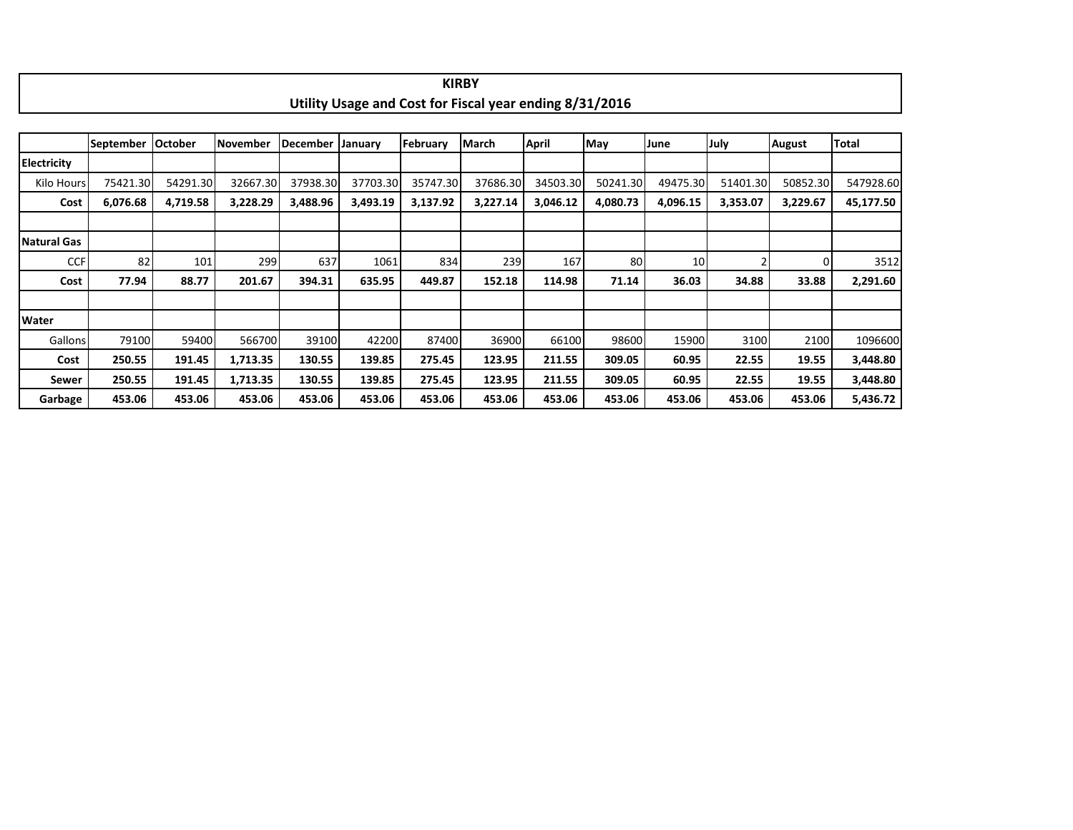|                    |                  |                |                 |                 |                |          | <b>KIRBY</b>                                            |              |          |          |          |               |           |
|--------------------|------------------|----------------|-----------------|-----------------|----------------|----------|---------------------------------------------------------|--------------|----------|----------|----------|---------------|-----------|
|                    |                  |                |                 |                 |                |          | Utility Usage and Cost for Fiscal year ending 8/31/2016 |              |          |          |          |               |           |
|                    |                  |                |                 |                 |                |          |                                                         |              |          |          |          |               |           |
|                    | <b>September</b> | <b>October</b> | <b>November</b> | <b>December</b> | <b>January</b> | February | March                                                   | <b>April</b> | May      | June     | July     | <b>August</b> | Total     |
| <b>Electricity</b> |                  |                |                 |                 |                |          |                                                         |              |          |          |          |               |           |
| Kilo Hours         | 75421.30         | 54291.30       | 32667.30        | 37938.30        | 37703.30       | 35747.30 | 37686.30                                                | 34503.30     | 50241.30 | 49475.30 | 51401.30 | 50852.30      | 547928.60 |
| Cost               | 6,076.68         | 4,719.58       | 3,228.29        | 3,488.96        | 3,493.19       | 3,137.92 | 3,227.14                                                | 3,046.12     | 4,080.73 | 4,096.15 | 3,353.07 | 3,229.67      | 45,177.50 |
|                    |                  |                |                 |                 |                |          |                                                         |              |          |          |          |               |           |
| Natural Gas        |                  |                |                 |                 |                |          |                                                         |              |          |          |          |               |           |
| <b>CCF</b>         | 82               | 101            | 299             | 637             | 1061           | 834      | 239                                                     | 167          | 80       | 10       |          |               | 3512      |
| Cost               | 77.94            | 88.77          | 201.67          | 394.31          | 635.95         | 449.87   | 152.18                                                  | 114.98       | 71.14    | 36.03    | 34.88    | 33.88         | 2,291.60  |
|                    |                  |                |                 |                 |                |          |                                                         |              |          |          |          |               |           |
| <b>Water</b>       |                  |                |                 |                 |                |          |                                                         |              |          |          |          |               |           |
| Gallons            | 79100            | 59400          | 566700          | 39100           | 42200          | 87400    | 36900                                                   | 66100        | 98600    | 15900    | 3100     | 2100          | 1096600   |
| Cost               | 250.55           | 191.45         | 1,713.35        | 130.55          | 139.85         | 275.45   | 123.95                                                  | 211.55       | 309.05   | 60.95    | 22.55    | 19.55         | 3,448.80  |
| Sewer              | 250.55           | 191.45         | 1,713.35        | 130.55          | 139.85         | 275.45   | 123.95                                                  | 211.55       | 309.05   | 60.95    | 22.55    | 19.55         | 3,448.80  |
| Garbage            | 453.06           | 453.06         | 453.06          | 453.06          | 453.06         | 453.06   | 453.06                                                  | 453.06       | 453.06   | 453.06   | 453.06   | 453.06        | 5,436.72  |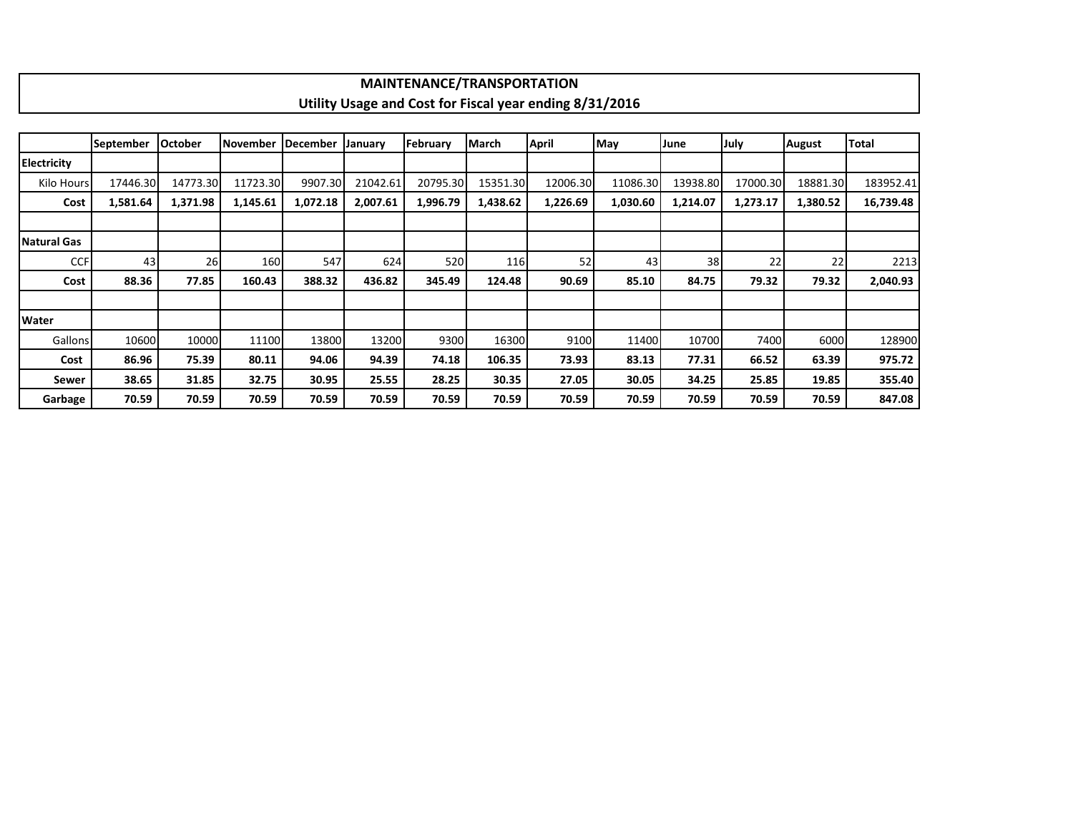|                    |                  |                |                 |          |          | <b>MAINTENANCE/TRANSPORTATION</b> |          |                                                         |          |          |          |               |           |
|--------------------|------------------|----------------|-----------------|----------|----------|-----------------------------------|----------|---------------------------------------------------------|----------|----------|----------|---------------|-----------|
|                    |                  |                |                 |          |          |                                   |          | Utility Usage and Cost for Fiscal year ending 8/31/2016 |          |          |          |               |           |
|                    |                  |                |                 |          |          |                                   |          |                                                         |          |          |          |               |           |
|                    | <b>September</b> | <b>October</b> | <b>November</b> | December | January  | February                          | March    | April                                                   | May      | June     | July     | <b>August</b> | Total     |
| <b>Electricity</b> |                  |                |                 |          |          |                                   |          |                                                         |          |          |          |               |           |
| Kilo Hours         | 17446.30         | 14773.30       | 11723.30        | 9907.30  | 21042.61 | 20795.30                          | 15351.30 | 12006.30                                                | 11086.30 | 13938.80 | 17000.30 | 18881.30      | 183952.41 |
| Cost               | 1,581.64         | 1,371.98       | 1,145.61        | 1,072.18 | 2,007.61 | 1,996.79                          | 1,438.62 | 1,226.69                                                | 1,030.60 | 1,214.07 | 1,273.17 | 1,380.52      | 16,739.48 |
|                    |                  |                |                 |          |          |                                   |          |                                                         |          |          |          |               |           |
| Natural Gas        |                  |                |                 |          |          |                                   |          |                                                         |          |          |          |               |           |
| <b>CCF</b>         | 43               | 26             | 160             | 547      | 624      | 520                               | 116      | 52                                                      | 43       | 38       | 22       | 22            | 2213      |
| Cost               | 88.36            | 77.85          | 160.43          | 388.32   | 436.82   | 345.49                            | 124.48   | 90.69                                                   | 85.10    | 84.75    | 79.32    | 79.32         | 2,040.93  |
|                    |                  |                |                 |          |          |                                   |          |                                                         |          |          |          |               |           |
| <b>Water</b>       |                  |                |                 |          |          |                                   |          |                                                         |          |          |          |               |           |
| <b>Gallons</b>     | 10600            | 10000          | 11100           | 13800    | 13200    | 9300                              | 16300    | 9100                                                    | 11400    | 10700    | 7400     | 6000          | 128900    |
| Cost               | 86.96            | 75.39          | 80.11           | 94.06    | 94.39    | 74.18                             | 106.35   | 73.93                                                   | 83.13    | 77.31    | 66.52    | 63.39         | 975.72    |
| Sewer              | 38.65            | 31.85          | 32.75           | 30.95    | 25.55    | 28.25                             | 30.35    | 27.05                                                   | 30.05    | 34.25    | 25.85    | 19.85         | 355.40    |
| Garbage            | 70.59            | 70.59          | 70.59           | 70.59    | 70.59    | 70.59                             | 70.59    | 70.59                                                   | 70.59    | 70.59    | 70.59    | 70.59         | 847.08    |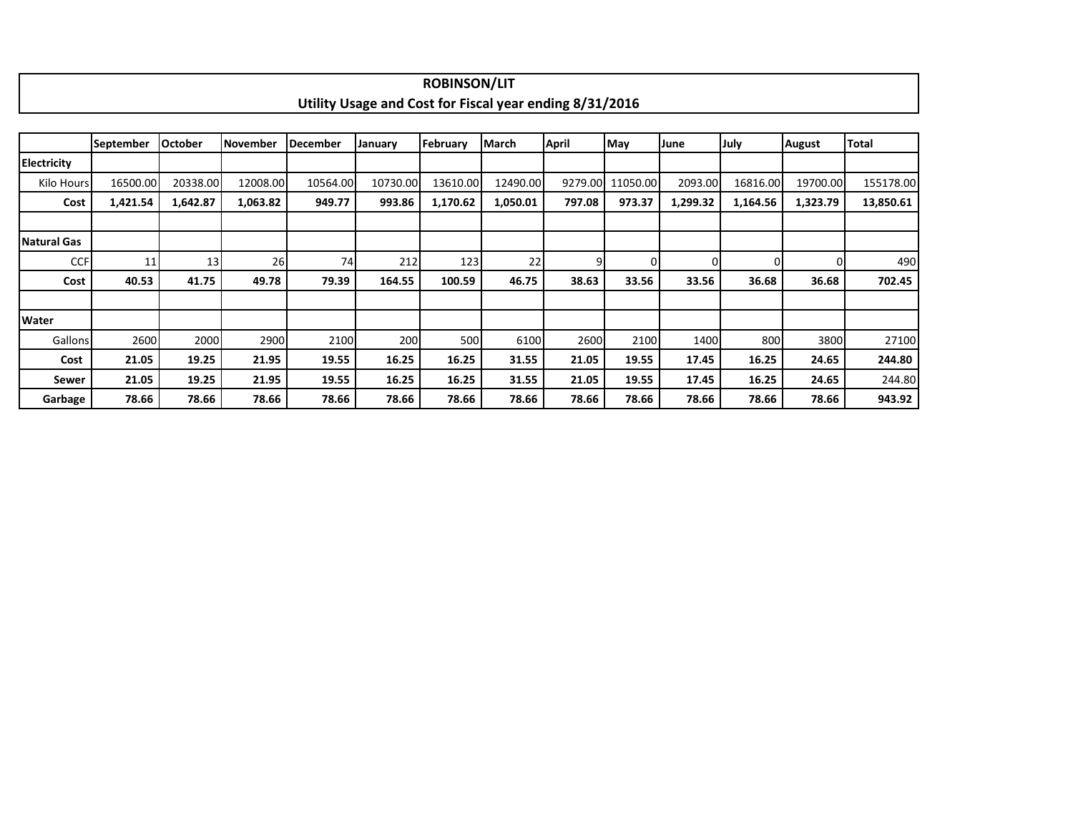|                    |                  |                |                 |                 |                                                         | <b>ROBINSON/LIT</b> |              |              |                  |          |          |               |              |
|--------------------|------------------|----------------|-----------------|-----------------|---------------------------------------------------------|---------------------|--------------|--------------|------------------|----------|----------|---------------|--------------|
|                    |                  |                |                 |                 | Utility Usage and Cost for Fiscal year ending 8/31/2016 |                     |              |              |                  |          |          |               |              |
|                    |                  |                |                 |                 |                                                         |                     |              |              |                  |          |          |               |              |
|                    | <b>September</b> | <b>October</b> | <b>November</b> | <b>December</b> | January                                                 | February            | <b>March</b> | <b>April</b> | May              | June     | July     | <b>August</b> | <b>Total</b> |
| <b>Electricity</b> |                  |                |                 |                 |                                                         |                     |              |              |                  |          |          |               |              |
| Kilo Hours         | 16500.00         | 20338.00       | 12008.00        | 10564.00        | 10730.00                                                | 13610.00            | 12490.00     |              | 9279.00 11050.00 | 2093.00  | 16816.00 | 19700.00      | 155178.00    |
| Cost               | 1,421.54         | 1,642.87       | 1,063.82        | 949.77          | 993.86                                                  | 1,170.62            | 1,050.01     | 797.08       | 973.37           | 1,299.32 | 1,164.56 | 1,323.79      | 13,850.61    |
|                    |                  |                |                 |                 |                                                         |                     |              |              |                  |          |          |               |              |
| Natural Gas        |                  |                |                 |                 |                                                         |                     |              |              |                  |          |          |               |              |
| <b>CCF</b>         | 11               | 13             | <b>26</b>       | 74              | 212                                                     | 123                 | 22           | 9            | ΩI               | 0        | $\Omega$ |               | 490          |
| Cost               | 40.53            | 41.75          | 49.78           | 79.39           | 164.55                                                  | 100.59              | 46.75        | 38.63        | 33.56            | 33.56    | 36.68    | 36.68         | 702.45       |
|                    |                  |                |                 |                 |                                                         |                     |              |              |                  |          |          |               |              |
| Water              |                  |                |                 |                 |                                                         |                     |              |              |                  |          |          |               |              |
| Gallons            | 2600             | 2000           | 2900            | 2100            | 200                                                     | 500                 | 6100         | 2600         | 2100             | 1400     | 800      | 3800          | 27100        |
| Cost               | 21.05            | 19.25          | 21.95           | 19.55           | 16.25                                                   | 16.25               | 31.55        | 21.05        | 19.55            | 17.45    | 16.25    | 24.65         | 244.80       |
| Sewer              | 21.05            | 19.25          | 21.95           | 19.55           | 16.25                                                   | 16.25               | 31.55        | 21.05        | 19.55            | 17.45    | 16.25    | 24.65         | 244.80       |
| Garbage            | 78.66            | 78.66          | 78.66           | 78.66           | 78.66                                                   | 78.66               | 78.66        | 78.66        | 78.66            | 78.66    | 78.66    | 78.66         | 943.92       |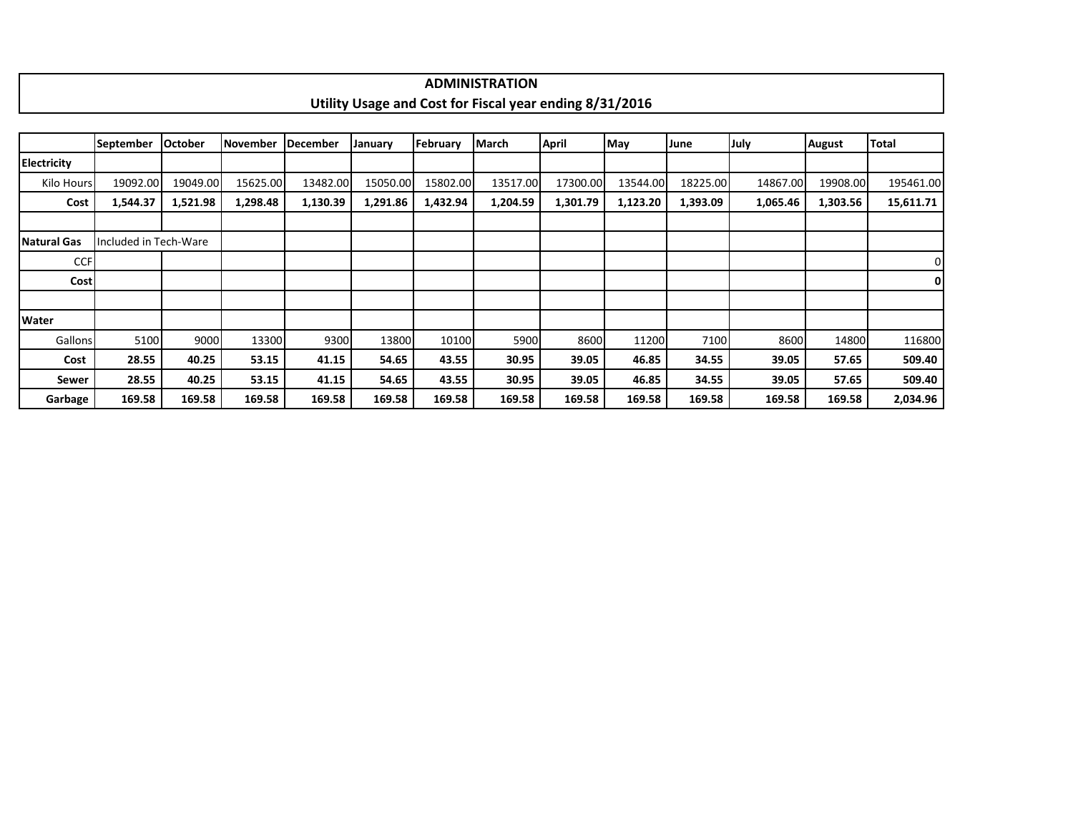|             |            |                |                    |          |          |                  | <b>ADMINISTRATION</b>                                   |          |          |          |          |               |           |
|-------------|------------|----------------|--------------------|----------|----------|------------------|---------------------------------------------------------|----------|----------|----------|----------|---------------|-----------|
|             |            |                |                    |          |          |                  | Utility Usage and Cost for Fiscal year ending 8/31/2016 |          |          |          |          |               |           |
|             |            |                |                    |          |          |                  |                                                         |          |          |          |          |               |           |
|             | lSeptember | <b>October</b> | November IDecember |          | January  | <b>IFebruary</b> | <b>IMarch</b>                                           | April    | May      | June     | July     | <b>August</b> | Total     |
| Electricity |            |                |                    |          |          |                  |                                                         |          |          |          |          |               |           |
| Kilo Hours  | 19092.00   | 19049.00       | 15625.00           | 13482.00 | 15050.00 | 15802.00         | 13517.00                                                | 17300.00 | 13544.00 | 18225.00 | 14867.00 | 19908.00      | 195461.00 |
| Cost        | 1,544.37   | 1,521.98       | 1,298.48           | 1,130.39 | 1,291.86 | 1,432.94         | 1,204.59                                                | 1,301.79 | 1,123.20 | 1,393.09 | 1,065.46 | 1,303.56      | 15,611.71 |

| Natural Gas | Included in Tech-Ware |        |        |        |        |        |        |        |        |        |        |        |          |
|-------------|-----------------------|--------|--------|--------|--------|--------|--------|--------|--------|--------|--------|--------|----------|
| <b>CCF</b>  |                       |        |        |        |        |        |        |        |        |        |        |        | 0        |
| Cost        |                       |        |        |        |        |        |        |        |        |        |        |        | οI       |
|             |                       |        |        |        |        |        |        |        |        |        |        |        |          |
| Water       |                       |        |        |        |        |        |        |        |        |        |        |        |          |
| Gallons     | 5100                  | 9000   | 13300  | 9300   | 13800  | 10100  | 5900   | 8600   | 11200  | 7100   | 8600   | 14800  | 116800   |
| Cost        | 28.55                 | 40.25  | 53.15  | 41.15  | 54.65  | 43.55  | 30.95  | 39.05  | 46.85  | 34.55  | 39.05  | 57.65  | 509.40   |
| Sewer       | 28.55                 | 40.25  | 53.15  | 41.15  | 54.65  | 43.55  | 30.95  | 39.05  | 46.85  | 34.55  | 39.05  | 57.65  | 509.40   |
| Garbage     | 169.58                | 169.58 | 169.58 | 169.58 | 169.58 | 169.58 | 169.58 | 169.58 | 169.58 | 169.58 | 169.58 | 169.58 | 2,034.96 |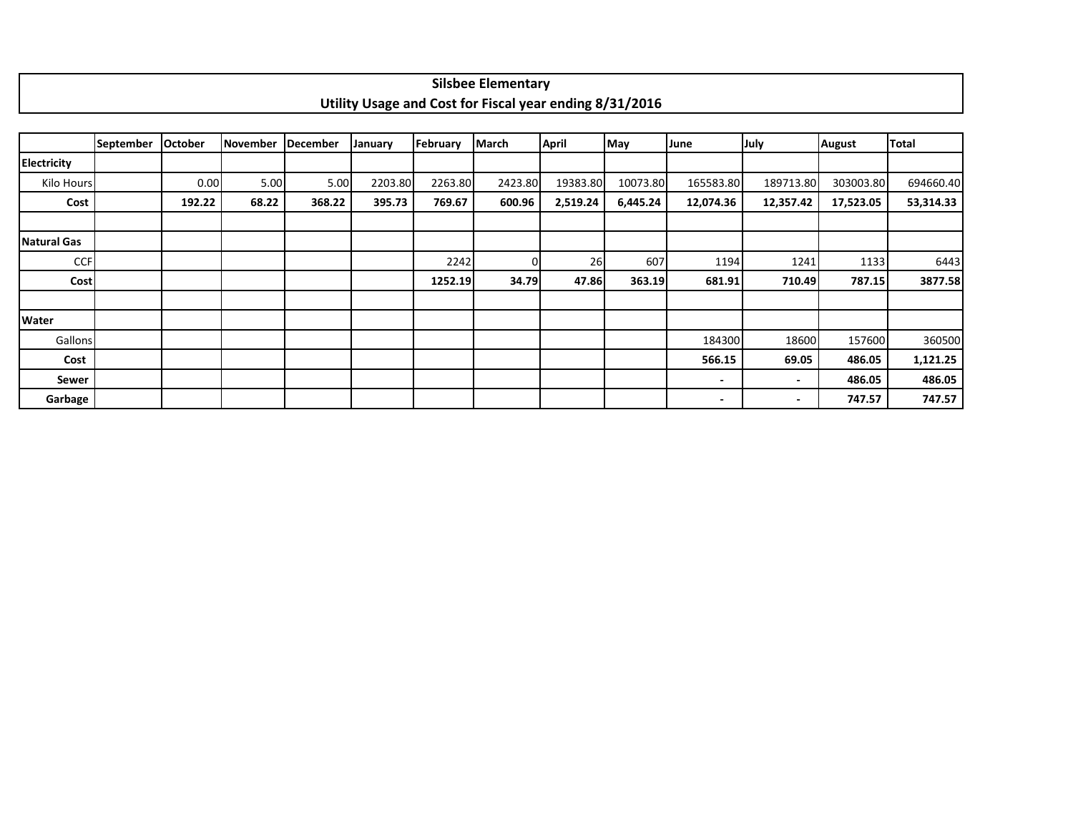|                    |           |                |                 |          |         |          | <b>Silsbee Elementary</b>                               |              |          |           |                |               |              |
|--------------------|-----------|----------------|-----------------|----------|---------|----------|---------------------------------------------------------|--------------|----------|-----------|----------------|---------------|--------------|
|                    |           |                |                 |          |         |          | Utility Usage and Cost for Fiscal year ending 8/31/2016 |              |          |           |                |               |              |
|                    |           |                |                 |          |         |          |                                                         |              |          |           |                |               |              |
|                    | September | <b>October</b> | <b>November</b> | December | January | February | March                                                   | <b>April</b> | May      | June      | July           | <b>August</b> | <b>Total</b> |
| <b>Electricity</b> |           |                |                 |          |         |          |                                                         |              |          |           |                |               |              |
| Kilo Hours         |           | 0.00           | 5.00            | 5.00     | 2203.80 | 2263.80  | 2423.80                                                 | 19383.80     | 10073.80 | 165583.80 | 189713.80      | 303003.80     | 694660.40    |
| Cost               |           | 192.22         | 68.22           | 368.22   | 395.73  | 769.67   | 600.96                                                  | 2,519.24     | 6,445.24 | 12,074.36 | 12,357.42      | 17,523.05     | 53,314.33    |
|                    |           |                |                 |          |         |          |                                                         |              |          |           |                |               |              |
| Natural Gas        |           |                |                 |          |         |          |                                                         |              |          |           |                |               |              |
| <b>CCF</b>         |           |                |                 |          |         | 2242     | ŋ                                                       | 26           | 607      | 1194      | 1241           | 1133          | 6443         |
| Cost               |           |                |                 |          |         | 1252.19  | 34.79                                                   | 47.86        | 363.19   | 681.91    | 710.49         | 787.15        | 3877.58      |
|                    |           |                |                 |          |         |          |                                                         |              |          |           |                |               |              |
| <b>Water</b>       |           |                |                 |          |         |          |                                                         |              |          |           |                |               |              |
| Gallons            |           |                |                 |          |         |          |                                                         |              |          | 184300    | 18600          | 157600        | 360500       |
| Cost               |           |                |                 |          |         |          |                                                         |              |          | 566.15    | 69.05          | 486.05        | 1,121.25     |
| Sewer              |           |                |                 |          |         |          |                                                         |              |          | ٠         | $\blacksquare$ | 486.05        | 486.05       |
| Garbage            |           |                |                 |          |         |          |                                                         |              |          | -         | ٠              | 747.57        | 747.57       |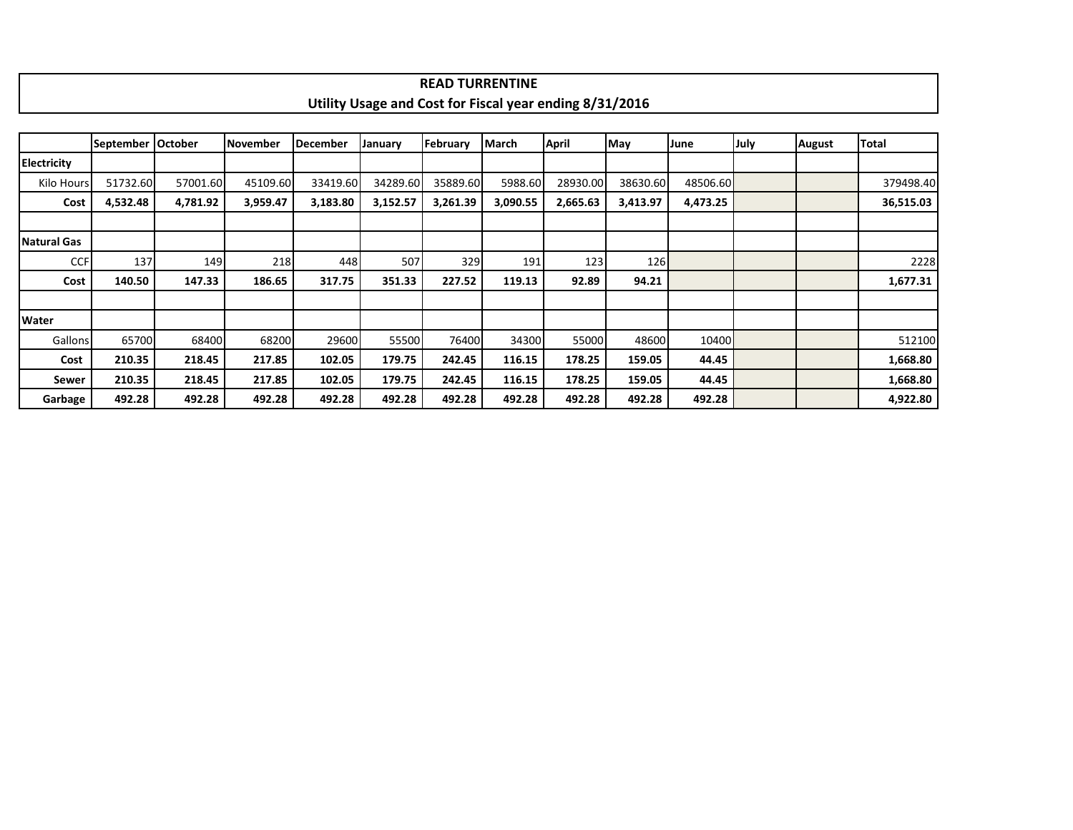|                    |                     |          |          |                 |                                                         |          | <b>READ TURRENTINE</b> |          |          |          |      |        |              |
|--------------------|---------------------|----------|----------|-----------------|---------------------------------------------------------|----------|------------------------|----------|----------|----------|------|--------|--------------|
|                    |                     |          |          |                 | Utility Usage and Cost for Fiscal year ending 8/31/2016 |          |                        |          |          |          |      |        |              |
|                    |                     |          |          |                 |                                                         |          |                        |          |          |          |      |        |              |
|                    | September   October |          | November | <b>December</b> | January                                                 | February | <b>March</b>           | April    | May      | June     | July | August | <b>Total</b> |
| <b>Electricity</b> |                     |          |          |                 |                                                         |          |                        |          |          |          |      |        |              |
| Kilo Hours         | 51732.60            | 57001.60 | 45109.60 | 33419.60        | 34289.60                                                | 35889.60 | 5988.60                | 28930.00 | 38630.60 | 48506.60 |      |        | 379498.40    |
| Cost               | 4,532.48            | 4,781.92 | 3,959.47 | 3,183.80        | 3,152.57                                                | 3,261.39 | 3,090.55               | 2,665.63 | 3,413.97 | 4,473.25 |      |        | 36,515.03    |
|                    |                     |          |          |                 |                                                         |          |                        |          |          |          |      |        |              |
| Natural Gas        |                     |          |          |                 |                                                         |          |                        |          |          |          |      |        |              |
| <b>CCF</b>         | 137                 | 149      | 218      | 448             | 507                                                     | 329      | 191                    | 123      | 126      |          |      |        | 2228         |
| Cost               | 140.50              | 147.33   | 186.65   | 317.75          | 351.33                                                  | 227.52   | 119.13                 | 92.89    | 94.21    |          |      |        | 1,677.31     |
|                    |                     |          |          |                 |                                                         |          |                        |          |          |          |      |        |              |
| <b>Water</b>       |                     |          |          |                 |                                                         |          |                        |          |          |          |      |        |              |
| Gallons            | 65700               | 68400    | 68200    | 29600           | 55500                                                   | 76400    | 34300                  | 55000    | 48600    | 10400    |      |        | 512100       |
| Cost               | 210.35              | 218.45   | 217.85   | 102.05          | 179.75                                                  | 242.45   | 116.15                 | 178.25   | 159.05   | 44.45    |      |        | 1,668.80     |
| Sewer              | 210.35              | 218.45   | 217.85   | 102.05          | 179.75                                                  | 242.45   | 116.15                 | 178.25   | 159.05   | 44.45    |      |        | 1,668.80     |
| Garbage            | 492.28              | 492.28   | 492.28   | 492.28          | 492.28                                                  | 492.28   | 492.28                 | 492.28   | 492.28   | 492.28   |      |        | 4,922.80     |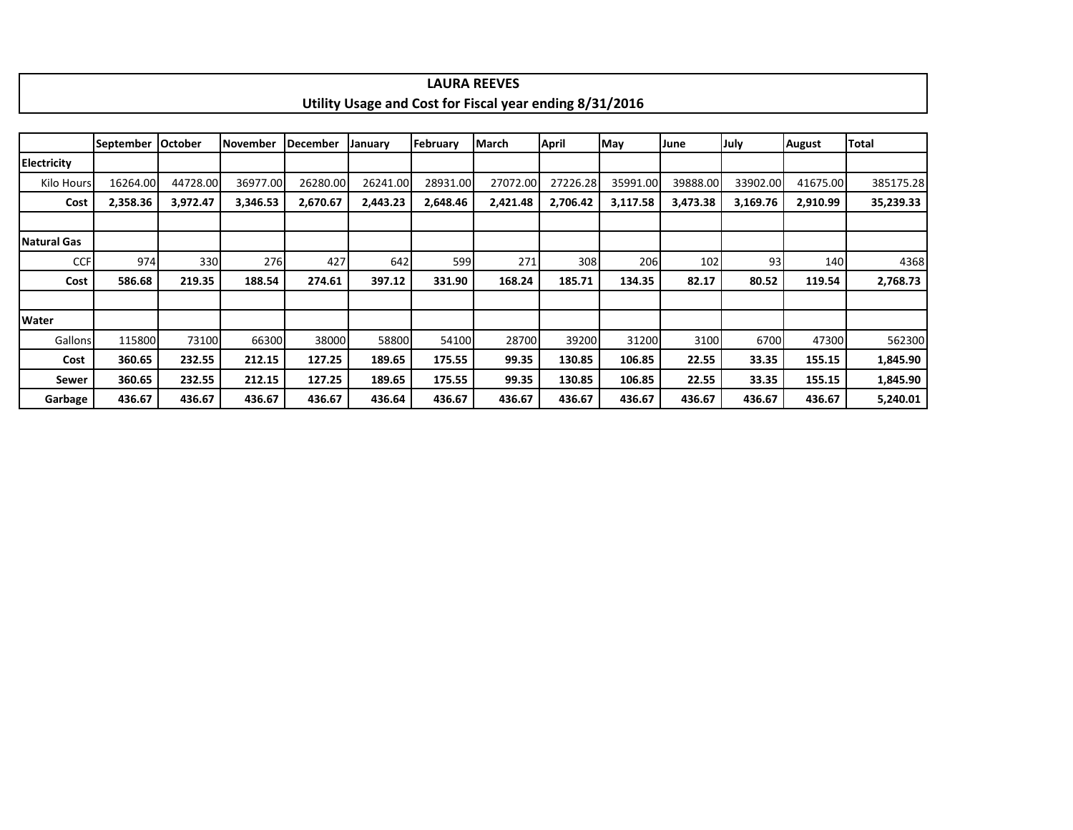|                    |                  |          |                 |                 |          |          | <b>LAURA REEVES</b>                                     |          |          |          |          |          |           |
|--------------------|------------------|----------|-----------------|-----------------|----------|----------|---------------------------------------------------------|----------|----------|----------|----------|----------|-----------|
|                    |                  |          |                 |                 |          |          | Utility Usage and Cost for Fiscal year ending 8/31/2016 |          |          |          |          |          |           |
|                    |                  |          |                 |                 |          |          |                                                         |          |          |          |          |          |           |
|                    | <b>September</b> | October  | <b>November</b> | <b>December</b> | January  | February | March                                                   | April    | May      | June     | July     | August   | Total     |
| <b>Electricity</b> |                  |          |                 |                 |          |          |                                                         |          |          |          |          |          |           |
| Kilo Hours         | 16264.00         | 44728.00 | 36977.00        | 26280.00        | 26241.00 | 28931.00 | 27072.00                                                | 27226.28 | 35991.00 | 39888.00 | 33902.00 | 41675.00 | 385175.28 |
| Cost               | 2,358.36         | 3,972.47 | 3,346.53        | 2,670.67        | 2,443.23 | 2,648.46 | 2,421.48                                                | 2,706.42 | 3,117.58 | 3,473.38 | 3,169.76 | 2,910.99 | 35,239.33 |
|                    |                  |          |                 |                 |          |          |                                                         |          |          |          |          |          |           |
| Natural Gas        |                  |          |                 |                 |          |          |                                                         |          |          |          |          |          |           |
| <b>CCF</b>         | 974              | 330      | 276             | 427             | 642      | 599      | 271                                                     | 308      | 206      | 102      | 93       | 140      | 4368      |
| Cost               | 586.68           | 219.35   | 188.54          | 274.61          | 397.12   | 331.90   | 168.24                                                  | 185.71   | 134.35   | 82.17    | 80.52    | 119.54   | 2,768.73  |
|                    |                  |          |                 |                 |          |          |                                                         |          |          |          |          |          |           |
| <b>Water</b>       |                  |          |                 |                 |          |          |                                                         |          |          |          |          |          |           |
| Gallons            | 115800           | 73100    | 66300           | 38000           | 58800    | 54100    | 28700                                                   | 39200    | 31200    | 3100     | 6700     | 47300    | 562300    |
| Cost               | 360.65           | 232.55   | 212.15          | 127.25          | 189.65   | 175.55   | 99.35                                                   | 130.85   | 106.85   | 22.55    | 33.35    | 155.15   | 1,845.90  |
| Sewer              | 360.65           | 232.55   | 212.15          | 127.25          | 189.65   | 175.55   | 99.35                                                   | 130.85   | 106.85   | 22.55    | 33.35    | 155.15   | 1,845.90  |
| Garbage            | 436.67           | 436.67   | 436.67          | 436.67          | 436.64   | 436.67   | 436.67                                                  | 436.67   | 436.67   | 436.67   | 436.67   | 436.67   | 5,240.01  |